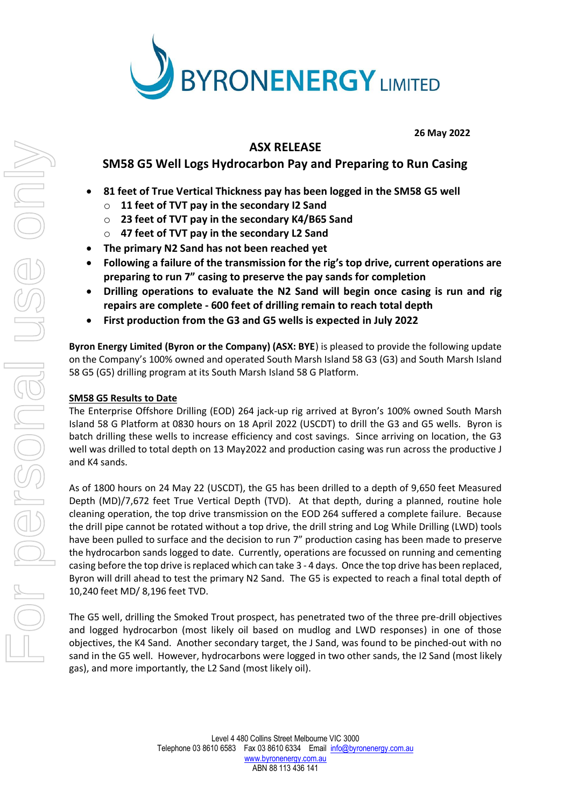

**26 May 2022**

# **ASX RELEASE SM58 G5 Well Logs Hydrocarbon Pay and Preparing to Run Casing**

- **81 feet of True Vertical Thickness pay has been logged in the SM58 G5 well**
	- o **11 feet of TVT pay in the secondary I2 Sand**
	- o **23 feet of TVT pay in the secondary K4/B65 Sand**
	- o **47 feet of TVT pay in the secondary L2 Sand**
- **The primary N2 Sand has not been reached yet**
- **Following a failure of the transmission for the rig's top drive, current operations are preparing to run 7" casing to preserve the pay sands for completion**
- **Drilling operations to evaluate the N2 Sand will begin once casing is run and rig repairs are complete - 600 feet of drilling remain to reach total depth**
- **First production from the G3 and G5 wells is expected in July 2022**

**Byron Energy Limited (Byron or the Company) (ASX: BYE**) is pleased to provide the following update on the Company's 100% owned and operated South Marsh Island 58 G3 (G3) and South Marsh Island 58 G5 (G5) drilling program at its South Marsh Island 58 G Platform.

# **SM58 G5 Results to Date**

The Enterprise Offshore Drilling (EOD) 264 jack-up rig arrived at Byron's 100% owned South Marsh Island 58 G Platform at 0830 hours on 18 April 2022 (USCDT) to drill the G3 and G5 wells. Byron is batch drilling these wells to increase efficiency and cost savings. Since arriving on location, the G3 well was drilled to total depth on 13 May2022 and production casing was run across the productive J and K4 sands.

As of 1800 hours on 24 May 22 (USCDT), the G5 has been drilled to a depth of 9,650 feet Measured Depth (MD)/7,672 feet True Vertical Depth (TVD). At that depth, during a planned, routine hole cleaning operation, the top drive transmission on the EOD 264 suffered a complete failure. Because the drill pipe cannot be rotated without a top drive, the drill string and Log While Drilling (LWD) tools have been pulled to surface and the decision to run 7" production casing has been made to preserve the hydrocarbon sands logged to date. Currently, operations are focussed on running and cementing casing before the top drive is replaced which can take 3 - 4 days. Once the top drive has been replaced, Byron will drill ahead to test the primary N2 Sand. The G5 is expected to reach a final total depth of 10,240 feet MD/ 8,196 feet TVD.

The G5 well, drilling the Smoked Trout prospect, has penetrated two of the three pre-drill objectives and logged hydrocarbon (most likely oil based on mudlog and LWD responses) in one of those objectives, the K4 Sand. Another secondary target, the J Sand, was found to be pinched-out with no sand in the G5 well. However, hydrocarbons were logged in two other sands, the I2 Sand (most likely gas), and more importantly, the L2 Sand (most likely oil).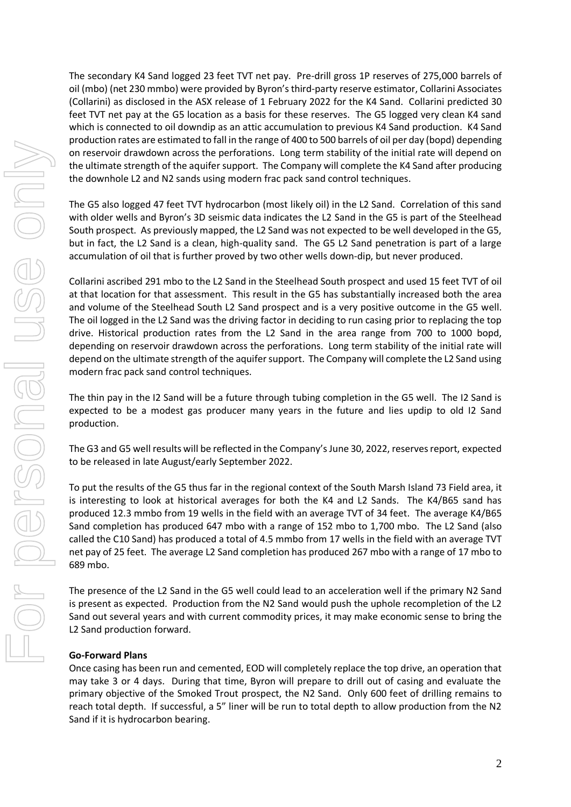The secondary K4 Sand logged 23 feet TVT net pay. Pre-drill gross 1P reserves of 275,000 barrels of oil (mbo) (net 230 mmbo) were provided by Byron's third-party reserve estimator, Collarini Associates (Collarini) as disclosed in the ASX release of 1 February 2022 for the K4 Sand. Collarini predicted 30 feet TVT net pay at the G5 location as a basis for these reserves. The G5 logged very clean K4 sand which is connected to oil downdip as an attic accumulation to previous K4 Sand production. K4 Sand production rates are estimated to fall in the range of 400 to 500 barrels of oil per day (bopd) depending on reservoir drawdown across the perforations. Long term stability of the initial rate will depend on the ultimate strength of the aquifer support. The Company will complete the K4 Sand after producing the downhole L2 and N2 sands using modern frac pack sand control techniques.

The G5 also logged 47 feet TVT hydrocarbon (most likely oil) in the L2 Sand. Correlation of this sand with older wells and Byron's 3D seismic data indicates the L2 Sand in the G5 is part of the Steelhead South prospect. As previously mapped, the L2 Sand was not expected to be well developed in the G5, but in fact, the L2 Sand is a clean, high-quality sand. The G5 L2 Sand penetration is part of a large accumulation of oil that is further proved by two other wells down-dip, but never produced.

Collarini ascribed 291 mbo to the L2 Sand in the Steelhead South prospect and used 15 feet TVT of oil at that location for that assessment. This result in the G5 has substantially increased both the area and volume of the Steelhead South L2 Sand prospect and is a very positive outcome in the G5 well. The oil logged in the L2 Sand was the driving factor in deciding to run casing prior to replacing the top drive. Historical production rates from the L2 Sand in the area range from 700 to 1000 bopd, depending on reservoir drawdown across the perforations. Long term stability of the initial rate will depend on the ultimate strength of the aquifer support. The Company will complete the L2 Sand using modern frac pack sand control techniques.

The thin pay in the I2 Sand will be a future through tubing completion in the G5 well. The I2 Sand is expected to be a modest gas producer many years in the future and lies updip to old I2 Sand production.

The G3 and G5 well results will be reflected in the Company's June 30, 2022, reserves report, expected to be released in late August/early September 2022.

To put the results of the G5 thus far in the regional context of the South Marsh Island 73 Field area, it is interesting to look at historical averages for both the K4 and L2 Sands. The K4/B65 sand has produced 12.3 mmbo from 19 wells in the field with an average TVT of 34 feet. The average K4/B65 Sand completion has produced 647 mbo with a range of 152 mbo to 1,700 mbo. The L2 Sand (also called the C10 Sand) has produced a total of 4.5 mmbo from 17 wells in the field with an average TVT net pay of 25 feet. The average L2 Sand completion has produced 267 mbo with a range of 17 mbo to 689 mbo.

The presence of the L2 Sand in the G5 well could lead to an acceleration well if the primary N2 Sand is present as expected. Production from the N2 Sand would push the uphole recompletion of the L2 Sand out several years and with current commodity prices, it may make economic sense to bring the L2 Sand production forward.

### **Go-Forward Plans**

Once casing has been run and cemented, EOD will completely replace the top drive, an operation that may take 3 or 4 days. During that time, Byron will prepare to drill out of casing and evaluate the primary objective of the Smoked Trout prospect, the N2 Sand. Only 600 feet of drilling remains to reach total depth. If successful, a 5" liner will be run to total depth to allow production from the N2 Sand if it is hydrocarbon bearing.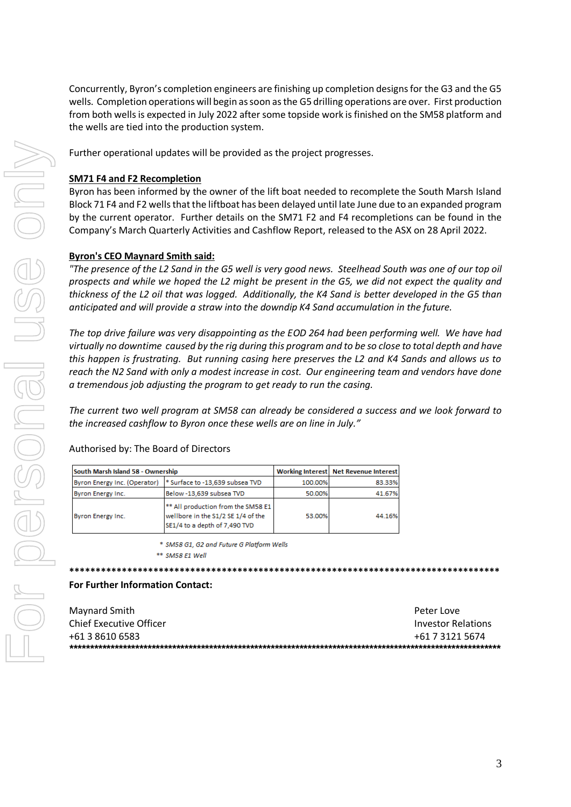Concurrently, Byron's completion engineers are finishing up completion designs for the G3 and the G5 wells. Completion operations will begin as soon as the G5 drilling operations are over. First production from both wells is expected in July 2022 after some topside work is finished on the SM58 platform and the wells are tied into the production system.

Further operational updates will be provided as the project progresses.

# **SM71 F4 and F2 Recompletion**

Byron has been informed by the owner of the lift boat needed to recomplete the South Marsh Island Block 71 F4 and F2 wells that the liftboat has been delayed until late June due to an expanded program by the current operator. Further details on the SM71 F2 and F4 recompletions can be found in the Company's March Quarterly Activities and Cashflow Report, released to the ASX on 28 April 2022.

### **Byron's CEO Maynard Smith said:**

*"The presence of the L2 Sand in the G5 well is very good news. Steelhead South was one of our top oil prospects and while we hoped the L2 might be present in the G5, we did not expect the quality and thickness of the L2 oil that was logged. Additionally, the K4 Sand is better developed in the G5 than anticipated and will provide a straw into the downdip K4 Sand accumulation in the future.*

*The top drive failure was very disappointing as the EOD 264 had been performing well. We have had virtually no downtime caused by the rig during this program and to be so close to total depth and have this happen is frustrating. But running casing here preserves the L2 and K4 Sands and allows us to reach the N2 Sand with only a modest increase in cost. Our engineering team and vendors have done a tremendous job adjusting the program to get ready to run the casing.*

*The current two well program at SM58 can already be considered a success and we look forward to the increased cashflow to Byron once these wells are on line in July."*

## Authorised by: The Board of Directors

| South Marsh Island 58 - Ownership |                                                                                                           |         | <b>Working Interest   Net Revenue Interest</b> |
|-----------------------------------|-----------------------------------------------------------------------------------------------------------|---------|------------------------------------------------|
| Byron Energy Inc. (Operator)      | * Surface to -13,639 subsea TVD                                                                           | 100.00% | 83.33%                                         |
| Byron Energy Inc.                 | Below -13,639 subsea TVD                                                                                  | 50.00%  | 41.67%                                         |
| Byron Energy Inc.                 | ** All production from the SM58 E1<br>wellbore in the S1/2 SE 1/4 of the<br>SE1/4 to a depth of 7,490 TVD | 53.00%  | 44.16%                                         |

\* SM58 G1, G2 and Future G Platform Wells

\*\* SM58 E1 Well

#### **\*\*\*\*\*\*\*\*\*\*\*\*\*\*\*\*\*\*\*\*\*\*\*\*\*\*\*\*\*\*\*\*\*\*\*\*\*\*\*\*\*\*\*\*\*\*\*\*\*\*\*\*\*\*\*\*\*\*\*\*\*\*\*\*\*\*\*\*\*\*\*\*\*\*\*\*\*\*\*\*\*\***

#### **For Further Information Contact:**

| Maynard Smith           | Peter Love                |
|-------------------------|---------------------------|
| Chief Executive Officer | <b>Investor Relations</b> |
| +61 3 8610 6583         | +61 7 3121 5674           |
|                         |                           |